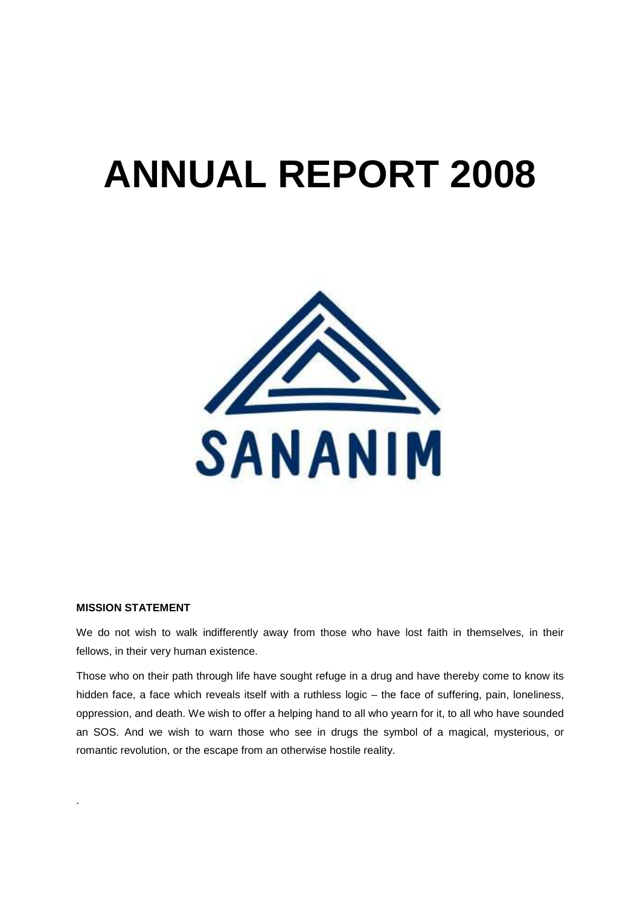# **ANNUAL REPORT 2008**



# **MISSION STATEMENT**

.

We do not wish to walk indifferently away from those who have lost faith in themselves, in their fellows, in their very human existence.

Those who on their path through life have sought refuge in a drug and have thereby come to know its hidden face, a face which reveals itself with a ruthless logic – the face of suffering, pain, loneliness, oppression, and death. We wish to offer a helping hand to all who yearn for it, to all who have sounded an SOS. And we wish to warn those who see in drugs the symbol of a magical, mysterious, or romantic revolution, or the escape from an otherwise hostile reality.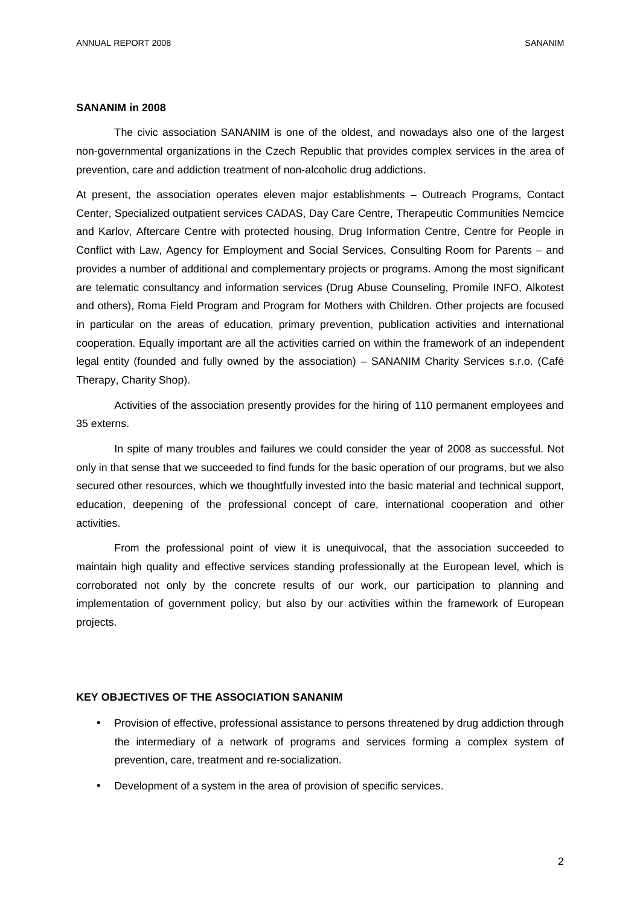#### **SANANIM in 2008**

The civic association SANANIM is one of the oldest, and nowadays also one of the largest non-governmental organizations in the Czech Republic that provides complex services in the area of prevention, care and addiction treatment of non-alcoholic drug addictions.

At present, the association operates eleven major establishments – Outreach Programs, Contact Center, Specialized outpatient services CADAS, Day Care Centre, Therapeutic Communities Nemcice and Karlov, Aftercare Centre with protected housing, Drug Information Centre, Centre for People in Conflict with Law, Agency for Employment and Social Services, Consulting Room for Parents – and provides a number of additional and complementary projects or programs. Among the most significant are telematic consultancy and information services (Drug Abuse Counseling, Promile INFO, Alkotest and others), Roma Field Program and Program for Mothers with Children. Other projects are focused in particular on the areas of education, primary prevention, publication activities and international cooperation. Equally important are all the activities carried on within the framework of an independent legal entity (founded and fully owned by the association) – SANANIM Charity Services s.r.o. (Café Therapy, Charity Shop).

Activities of the association presently provides for the hiring of 110 permanent employees and 35 externs.

In spite of many troubles and failures we could consider the year of 2008 as successful. Not only in that sense that we succeeded to find funds for the basic operation of our programs, but we also secured other resources, which we thoughtfully invested into the basic material and technical support, education, deepening of the professional concept of care, international cooperation and other activities.

From the professional point of view it is unequivocal, that the association succeeded to maintain high quality and effective services standing professionally at the European level, which is corroborated not only by the concrete results of our work, our participation to planning and implementation of government policy, but also by our activities within the framework of European projects.

# **KEY OBJECTIVES OF THE ASSOCIATION SANANIM**

- Provision of effective, professional assistance to persons threatened by drug addiction through the intermediary of a network of programs and services forming a complex system of prevention, care, treatment and re-socialization.
- Development of a system in the area of provision of specific services.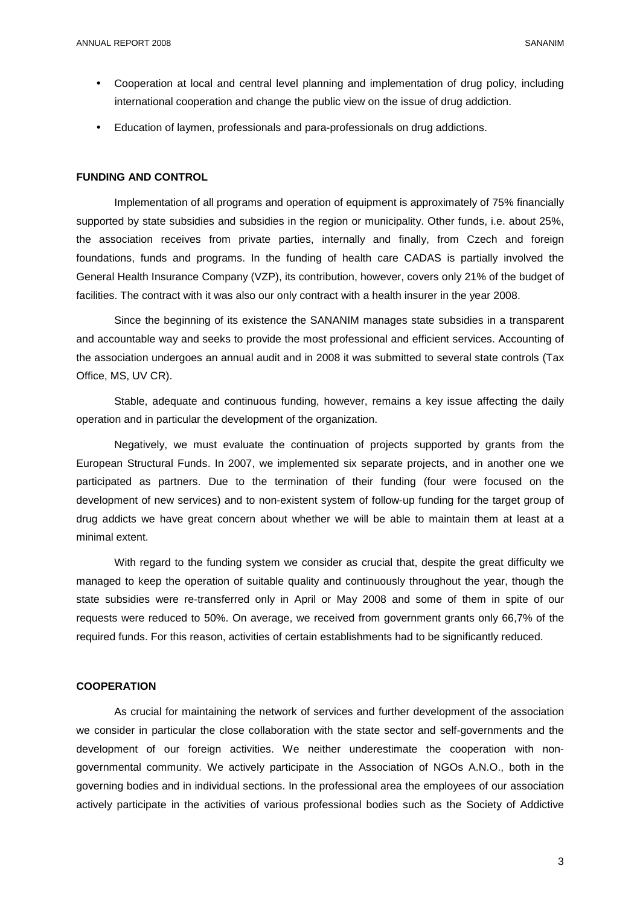- Cooperation at local and central level planning and implementation of drug policy, including international cooperation and change the public view on the issue of drug addiction.
- Education of laymen, professionals and para-professionals on drug addictions.

#### **FUNDING AND CONTROL**

Implementation of all programs and operation of equipment is approximately of 75% financially supported by state subsidies and subsidies in the region or municipality. Other funds, i.e. about 25%, the association receives from private parties, internally and finally, from Czech and foreign foundations, funds and programs. In the funding of health care CADAS is partially involved the General Health Insurance Company (VZP), its contribution, however, covers only 21% of the budget of facilities. The contract with it was also our only contract with a health insurer in the year 2008.

Since the beginning of its existence the SANANIM manages state subsidies in a transparent and accountable way and seeks to provide the most professional and efficient services. Accounting of the association undergoes an annual audit and in 2008 it was submitted to several state controls (Tax Office, MS, UV CR).

Stable, adequate and continuous funding, however, remains a key issue affecting the daily operation and in particular the development of the organization.

Negatively, we must evaluate the continuation of projects supported by grants from the European Structural Funds. In 2007, we implemented six separate projects, and in another one we participated as partners. Due to the termination of their funding (four were focused on the development of new services) and to non-existent system of follow-up funding for the target group of drug addicts we have great concern about whether we will be able to maintain them at least at a minimal extent.

With regard to the funding system we consider as crucial that, despite the great difficulty we managed to keep the operation of suitable quality and continuously throughout the year, though the state subsidies were re-transferred only in April or May 2008 and some of them in spite of our requests were reduced to 50%. On average, we received from government grants only 66,7% of the required funds. For this reason, activities of certain establishments had to be significantly reduced.

#### **COOPERATION**

As crucial for maintaining the network of services and further development of the association we consider in particular the close collaboration with the state sector and self-governments and the development of our foreign activities. We neither underestimate the cooperation with nongovernmental community. We actively participate in the Association of NGOs A.N.O., both in the governing bodies and in individual sections. In the professional area the employees of our association actively participate in the activities of various professional bodies such as the Society of Addictive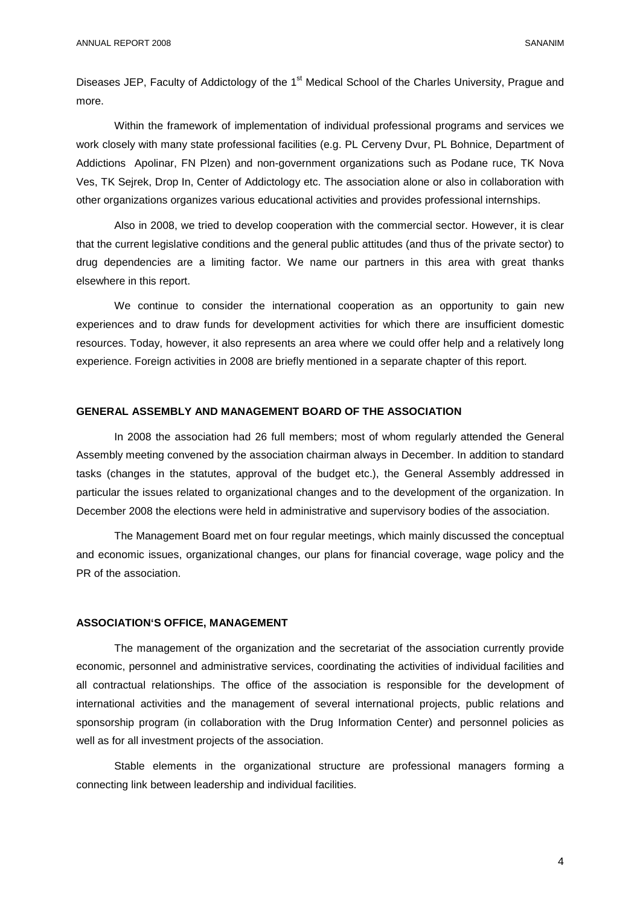Diseases JEP, Faculty of Addictology of the 1<sup>st</sup> Medical School of the Charles University, Prague and more.

Within the framework of implementation of individual professional programs and services we work closely with many state professional facilities (e.g. PL Cerveny Dvur, PL Bohnice, Department of Addictions Apolinar, FN Plzen) and non-government organizations such as Podane ruce, TK Nova Ves, TK Sejrek, Drop In, Center of Addictology etc. The association alone or also in collaboration with other organizations organizes various educational activities and provides professional internships.

Also in 2008, we tried to develop cooperation with the commercial sector. However, it is clear that the current legislative conditions and the general public attitudes (and thus of the private sector) to drug dependencies are a limiting factor. We name our partners in this area with great thanks elsewhere in this report.

We continue to consider the international cooperation as an opportunity to gain new experiences and to draw funds for development activities for which there are insufficient domestic resources. Today, however, it also represents an area where we could offer help and a relatively long experience. Foreign activities in 2008 are briefly mentioned in a separate chapter of this report.

# **GENERAL ASSEMBLY AND MANAGEMENT BOARD OF THE ASSOCIATION**

In 2008 the association had 26 full members; most of whom regularly attended the General Assembly meeting convened by the association chairman always in December. In addition to standard tasks (changes in the statutes, approval of the budget etc.), the General Assembly addressed in particular the issues related to organizational changes and to the development of the organization. In December 2008 the elections were held in administrative and supervisory bodies of the association.

The Management Board met on four regular meetings, which mainly discussed the conceptual and economic issues, organizational changes, our plans for financial coverage, wage policy and the PR of the association.

#### **ASSOCIATION'S OFFICE, MANAGEMENT**

The management of the organization and the secretariat of the association currently provide economic, personnel and administrative services, coordinating the activities of individual facilities and all contractual relationships. The office of the association is responsible for the development of international activities and the management of several international projects, public relations and sponsorship program (in collaboration with the Drug Information Center) and personnel policies as well as for all investment projects of the association.

Stable elements in the organizational structure are professional managers forming a connecting link between leadership and individual facilities.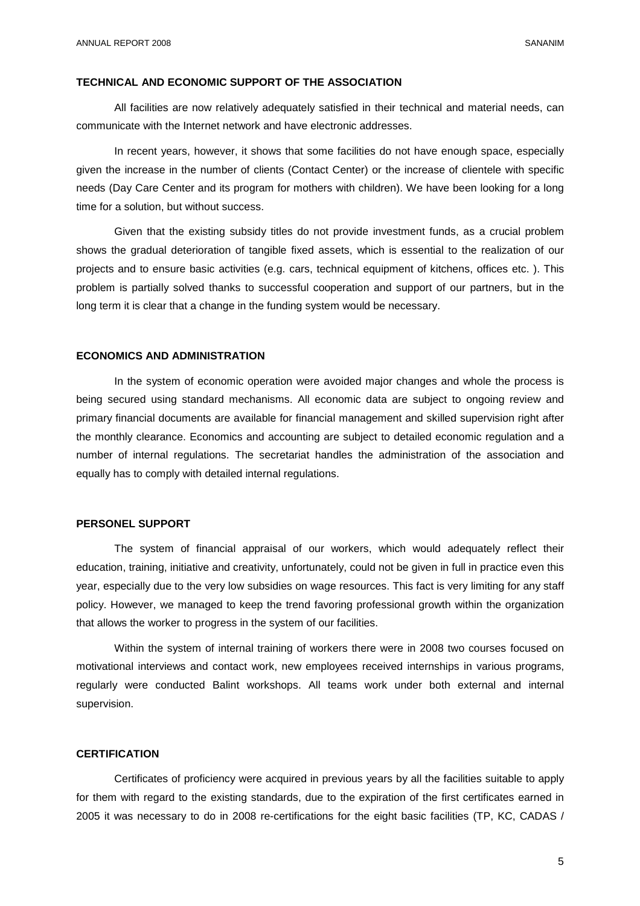#### **TECHNICAL AND ECONOMIC SUPPORT OF THE ASSOCIATION**

All facilities are now relatively adequately satisfied in their technical and material needs, can communicate with the Internet network and have electronic addresses.

In recent years, however, it shows that some facilities do not have enough space, especially given the increase in the number of clients (Contact Center) or the increase of clientele with specific needs (Day Care Center and its program for mothers with children). We have been looking for a long time for a solution, but without success.

Given that the existing subsidy titles do not provide investment funds, as a crucial problem shows the gradual deterioration of tangible fixed assets, which is essential to the realization of our projects and to ensure basic activities (e.g. cars, technical equipment of kitchens, offices etc. ). This problem is partially solved thanks to successful cooperation and support of our partners, but in the long term it is clear that a change in the funding system would be necessary.

#### **ECONOMICS AND ADMINISTRATION**

In the system of economic operation were avoided major changes and whole the process is being secured using standard mechanisms. All economic data are subject to ongoing review and primary financial documents are available for financial management and skilled supervision right after the monthly clearance. Economics and accounting are subject to detailed economic regulation and a number of internal regulations. The secretariat handles the administration of the association and equally has to comply with detailed internal regulations.

# **PERSONEL SUPPORT**

The system of financial appraisal of our workers, which would adequately reflect their education, training, initiative and creativity, unfortunately, could not be given in full in practice even this year, especially due to the very low subsidies on wage resources. This fact is very limiting for any staff policy. However, we managed to keep the trend favoring professional growth within the organization that allows the worker to progress in the system of our facilities.

Within the system of internal training of workers there were in 2008 two courses focused on motivational interviews and contact work, new employees received internships in various programs, regularly were conducted Balint workshops. All teams work under both external and internal supervision.

#### **CERTIFICATION**

Certificates of proficiency were acquired in previous years by all the facilities suitable to apply for them with regard to the existing standards, due to the expiration of the first certificates earned in 2005 it was necessary to do in 2008 re-certifications for the eight basic facilities (TP, KC, CADAS /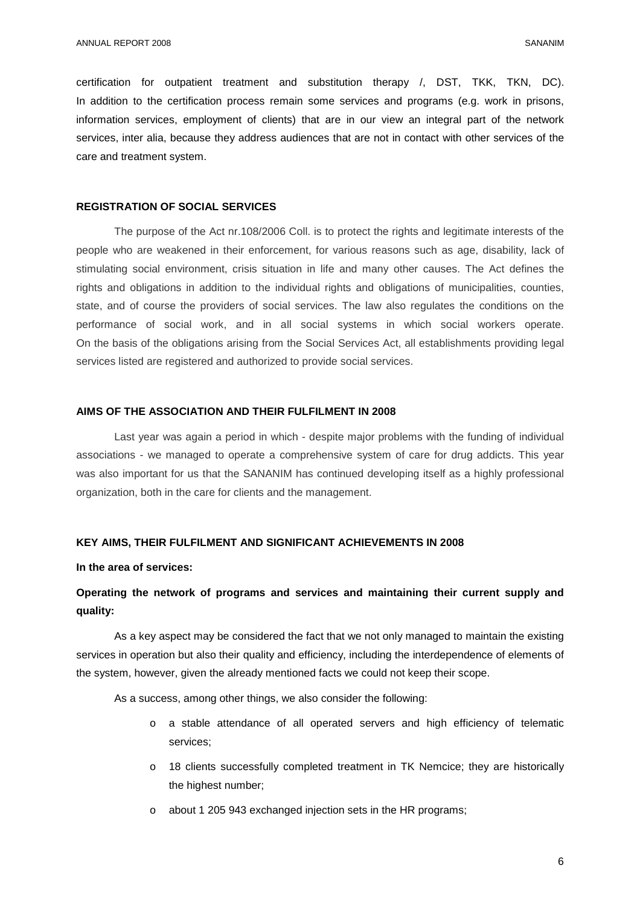certification for outpatient treatment and substitution therapy /, DST, TKK, TKN, DC). In addition to the certification process remain some services and programs (e.g. work in prisons, information services, employment of clients) that are in our view an integral part of the network services, inter alia, because they address audiences that are not in contact with other services of the care and treatment system.

# **REGISTRATION OF SOCIAL SERVICES**

The purpose of the Act nr.108/2006 Coll. is to protect the rights and legitimate interests of the people who are weakened in their enforcement, for various reasons such as age, disability, lack of stimulating social environment, crisis situation in life and many other causes. The Act defines the rights and obligations in addition to the individual rights and obligations of municipalities, counties, state, and of course the providers of social services. The law also regulates the conditions on the performance of social work, and in all social systems in which social workers operate. On the basis of the obligations arising from the Social Services Act, all establishments providing legal services listed are registered and authorized to provide social services.

# **AIMS OF THE ASSOCIATION AND THEIR FULFILMENT IN 2008**

Last year was again a period in which - despite major problems with the funding of individual associations - we managed to operate a comprehensive system of care for drug addicts. This year was also important for us that the SANANIM has continued developing itself as a highly professional organization, both in the care for clients and the management.

#### **KEY AIMS, THEIR FULFILMENT AND SIGNIFICANT ACHIEVEMENTS IN 2008**

#### **In the area of services:**

# **Operating the network of programs and services and maintaining their current supply and quality:**

As a key aspect may be considered the fact that we not only managed to maintain the existing services in operation but also their quality and efficiency, including the interdependence of elements of the system, however, given the already mentioned facts we could not keep their scope.

As a success, among other things, we also consider the following:

- o a stable attendance of all operated servers and high efficiency of telematic services;
- o 18 clients successfully completed treatment in TK Nemcice; they are historically the highest number;
- o about 1 205 943 exchanged injection sets in the HR programs;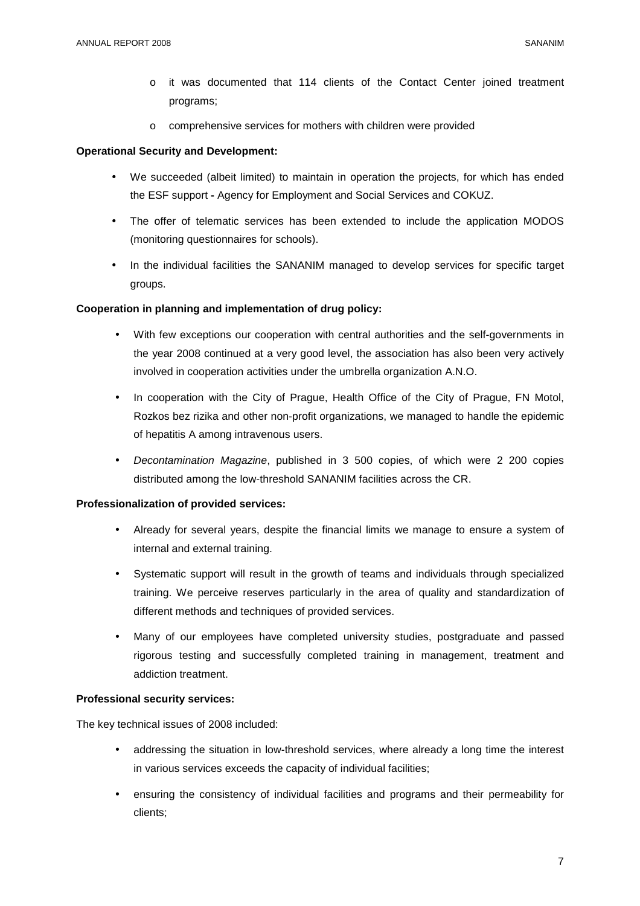- o it was documented that 114 clients of the Contact Center joined treatment programs;
- o comprehensive services for mothers with children were provided

# **Operational Security and Development:**

- We succeeded (albeit limited) to maintain in operation the projects, for which has ended the ESF support **-** Agency for Employment and Social Services and COKUZ.
- The offer of telematic services has been extended to include the application MODOS (monitoring questionnaires for schools).
- In the individual facilities the SANANIM managed to develop services for specific target groups.

# **Cooperation in planning and implementation of drug policy:**

- With few exceptions our cooperation with central authorities and the self-governments in the year 2008 continued at a very good level, the association has also been very actively involved in cooperation activities under the umbrella organization A.N.O.
- In cooperation with the City of Prague, Health Office of the City of Prague, FN Motol, Rozkos bez rizika and other non-profit organizations, we managed to handle the epidemic of hepatitis A among intravenous users.
- Decontamination Magazine, published in 3 500 copies, of which were 2 200 copies distributed among the low-threshold SANANIM facilities across the CR.

# **Professionalization of provided services:**

- Already for several years, despite the financial limits we manage to ensure a system of internal and external training.
- Systematic support will result in the growth of teams and individuals through specialized training. We perceive reserves particularly in the area of quality and standardization of different methods and techniques of provided services.
- Many of our employees have completed university studies, postgraduate and passed rigorous testing and successfully completed training in management, treatment and addiction treatment.

# **Professional security services:**

The key technical issues of 2008 included:

- addressing the situation in low-threshold services, where already a long time the interest in various services exceeds the capacity of individual facilities;
- ensuring the consistency of individual facilities and programs and their permeability for clients;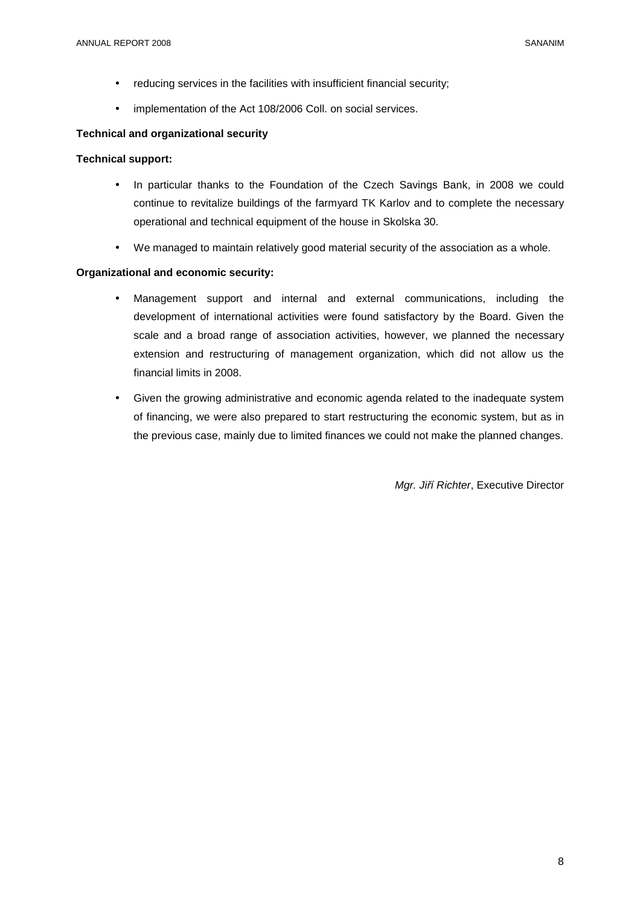- reducing services in the facilities with insufficient financial security;
- implementation of the Act 108/2006 Coll. on social services.

# **Technical and organizational security**

# **Technical support:**

- In particular thanks to the Foundation of the Czech Savings Bank, in 2008 we could continue to revitalize buildings of the farmyard TK Karlov and to complete the necessary operational and technical equipment of the house in Skolska 30.
- We managed to maintain relatively good material security of the association as a whole.

# **Organizational and economic security:**

- Management support and internal and external communications, including the development of international activities were found satisfactory by the Board. Given the scale and a broad range of association activities, however, we planned the necessary extension and restructuring of management organization, which did not allow us the financial limits in 2008.
- Given the growing administrative and economic agenda related to the inadequate system of financing, we were also prepared to start restructuring the economic system, but as in the previous case, mainly due to limited finances we could not make the planned changes.

Mgr. Ji*ř*í Richter, Executive Director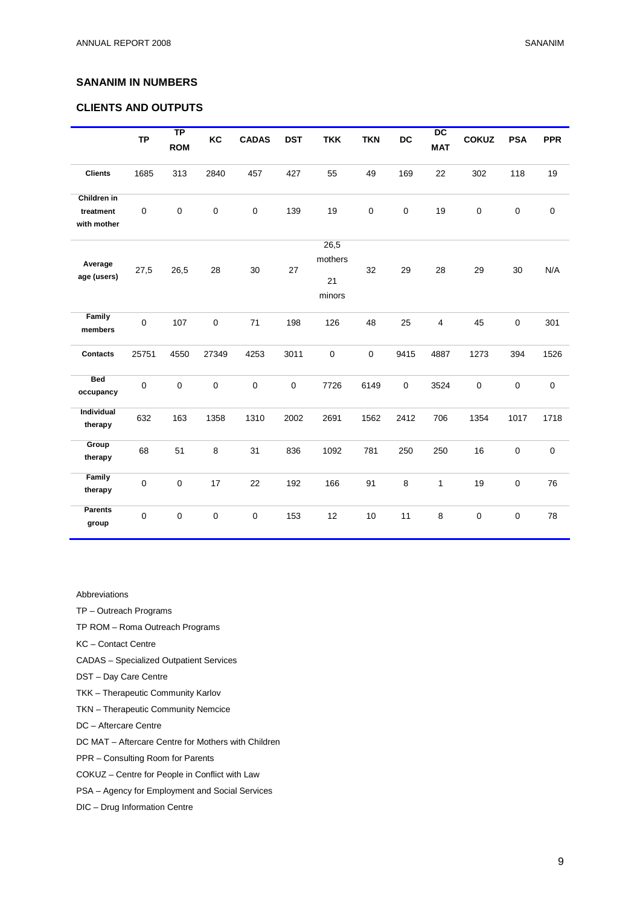# **SANANIM IN NUMBERS**

# **CLIENTS AND OUTPUTS**

|                                         | <b>TP</b>   | <b>TP</b><br><b>ROM</b> | KC        | <b>CADAS</b> | <b>DST</b>  | <b>TKK</b>                      | <b>TKN</b>  | DC          | $\overline{DC}$<br><b>MAT</b> | <b>COKUZ</b> | <b>PSA</b> | <b>PPR</b>  |
|-----------------------------------------|-------------|-------------------------|-----------|--------------|-------------|---------------------------------|-------------|-------------|-------------------------------|--------------|------------|-------------|
| <b>Clients</b>                          | 1685        | 313                     | 2840      | 457          | 427         | 55                              | 49          | 169         | 22                            | 302          | 118        | 19          |
| Children in<br>treatment<br>with mother | $\mathsf 0$ | $\pmb{0}$               | 0         | $\mathbf 0$  | 139         | 19                              | $\mathbf 0$ | $\mathbf 0$ | 19                            | 0            | $\pmb{0}$  | $\pmb{0}$   |
| Average<br>age (users)                  | 27,5        | 26,5                    | 28        | 30           | 27          | 26,5<br>mothers<br>21<br>minors | 32          | 29          | 28                            | 29           | 30         | N/A         |
| Family<br>members                       | 0           | 107                     | $\pmb{0}$ | $71$         | 198         | 126                             | 48          | 25          | 4                             | 45           | $\pmb{0}$  | 301         |
| <b>Contacts</b>                         | 25751       | 4550                    | 27349     | 4253         | 3011        | $\mathsf 0$                     | $\mathbf 0$ | 9415        | 4887                          | 1273         | 394        | 1526        |
| <b>Bed</b><br>occupancy                 | $\mathsf 0$ | $\pmb{0}$               | 0         | $\mathbf 0$  | $\mathbf 0$ | 7726                            | 6149        | $\mathbf 0$ | 3524                          | 0            | $\pmb{0}$  | $\pmb{0}$   |
| Individual<br>therapy                   | 632         | 163                     | 1358      | 1310         | 2002        | 2691                            | 1562        | 2412        | 706                           | 1354         | 1017       | 1718        |
| Group<br>therapy                        | 68          | 51                      | 8         | 31           | 836         | 1092                            | 781         | 250         | 250                           | 16           | $\pmb{0}$  | $\mathbf 0$ |
| Family<br>therapy                       | $\mathsf 0$ | $\pmb{0}$               | 17        | 22           | 192         | 166                             | 91          | 8           | $\mathbf{1}$                  | 19           | 0          | 76          |
| <b>Parents</b><br>group                 | $\mathsf 0$ | $\pmb{0}$               | 0         | $\pmb{0}$    | 153         | 12                              | 10          | 11          | 8                             | 0            | 0          | 78          |

Abbreviations

TP – Outreach Programs

TP ROM – Roma Outreach Programs

KC – Contact Centre

CADAS – Specialized Outpatient Services

- DST Day Care Centre
- TKK Therapeutic Community Karlov
- TKN Therapeutic Community Nemcice
- DC Aftercare Centre

DC MAT – Aftercare Centre for Mothers with Children

PPR – Consulting Room for Parents

- COKUZ Centre for People in Conflict with Law
- PSA Agency for Employment and Social Services
- DIC Drug Information Centre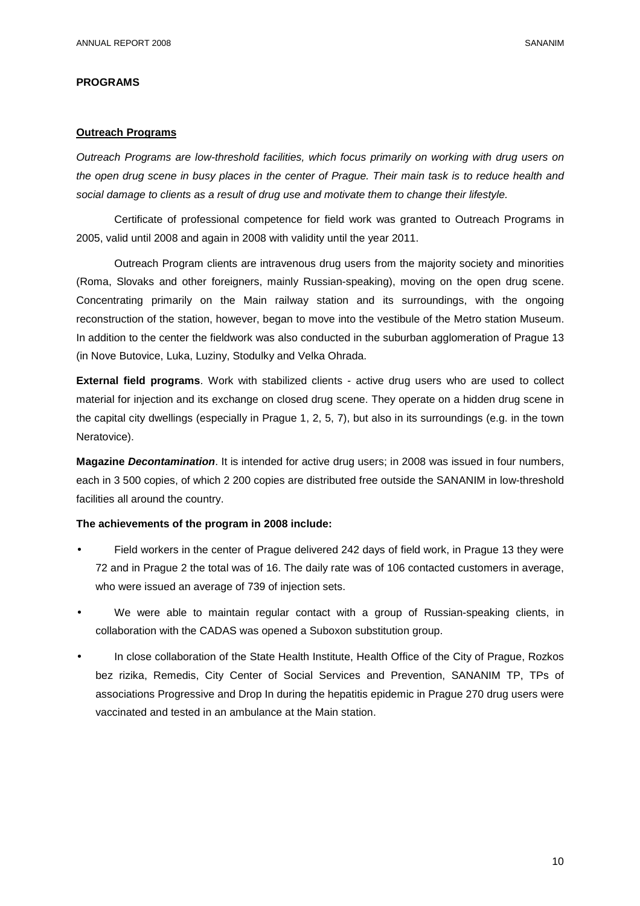#### **PROGRAMS**

# **Outreach Programs**

Outreach Programs are low-threshold facilities, which focus primarily on working with drug users on the open drug scene in busy places in the center of Prague. Their main task is to reduce health and social damage to clients as a result of drug use and motivate them to change their lifestyle.

Certificate of professional competence for field work was granted to Outreach Programs in 2005, valid until 2008 and again in 2008 with validity until the year 2011.

Outreach Program clients are intravenous drug users from the majority society and minorities (Roma, Slovaks and other foreigners, mainly Russian-speaking), moving on the open drug scene. Concentrating primarily on the Main railway station and its surroundings, with the ongoing reconstruction of the station, however, began to move into the vestibule of the Metro station Museum. In addition to the center the fieldwork was also conducted in the suburban agglomeration of Prague 13 (in Nove Butovice, Luka, Luziny, Stodulky and Velka Ohrada.

**External field programs**. Work with stabilized clients - active drug users who are used to collect material for injection and its exchange on closed drug scene. They operate on a hidden drug scene in the capital city dwellings (especially in Prague 1, 2, 5, 7), but also in its surroundings (e.g. in the town Neratovice).

**Magazine Decontamination**. It is intended for active drug users; in 2008 was issued in four numbers, each in 3 500 copies, of which 2 200 copies are distributed free outside the SANANIM in low-threshold facilities all around the country.

# **The achievements of the program in 2008 include:**

- Field workers in the center of Prague delivered 242 days of field work, in Prague 13 they were 72 and in Prague 2 the total was of 16. The daily rate was of 106 contacted customers in average, who were issued an average of 739 of injection sets.
- We were able to maintain regular contact with a group of Russian-speaking clients, in collaboration with the CADAS was opened a Suboxon substitution group.
- In close collaboration of the State Health Institute, Health Office of the City of Prague, Rozkos bez rizika, Remedis, City Center of Social Services and Prevention, SANANIM TP, TPs of associations Progressive and Drop In during the hepatitis epidemic in Prague 270 drug users were vaccinated and tested in an ambulance at the Main station.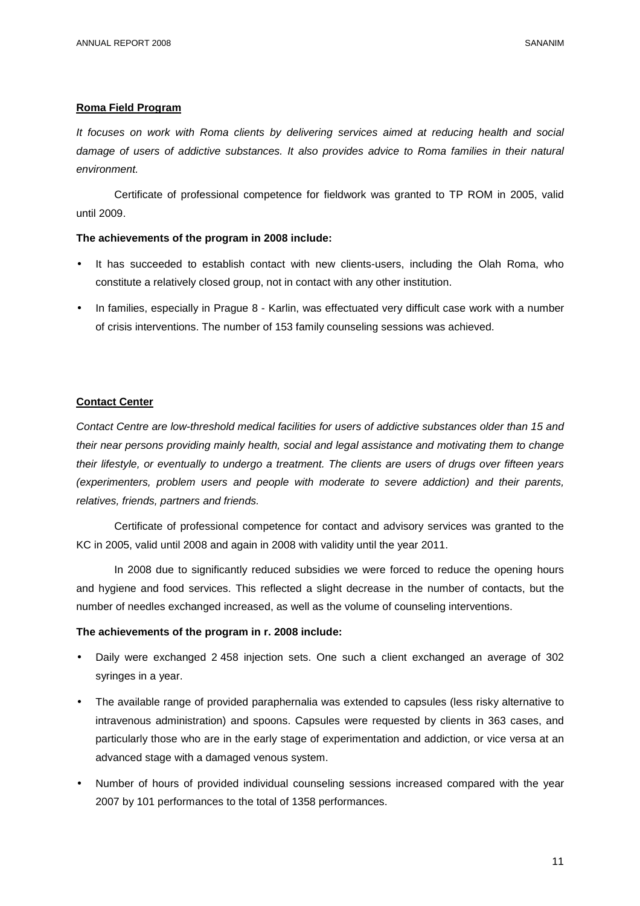# **Roma Field Program**

It focuses on work with Roma clients by delivering services aimed at reducing health and social damage of users of addictive substances. It also provides advice to Roma families in their natural environment.

Certificate of professional competence for fieldwork was granted to TP ROM in 2005, valid until 2009.

#### **The achievements of the program in 2008 include:**

- It has succeeded to establish contact with new clients-users, including the Olah Roma, who constitute a relatively closed group, not in contact with any other institution.
- In families, especially in Prague 8 Karlin, was effectuated very difficult case work with a number of crisis interventions. The number of 153 family counseling sessions was achieved.

#### **Contact Center**

Contact Centre are low-threshold medical facilities for users of addictive substances older than 15 and their near persons providing mainly health, social and legal assistance and motivating them to change their lifestyle, or eventually to undergo a treatment. The clients are users of drugs over fifteen years (experimenters, problem users and people with moderate to severe addiction) and their parents, relatives, friends, partners and friends.

Certificate of professional competence for contact and advisory services was granted to the KC in 2005, valid until 2008 and again in 2008 with validity until the year 2011.

In 2008 due to significantly reduced subsidies we were forced to reduce the opening hours and hygiene and food services. This reflected a slight decrease in the number of contacts, but the number of needles exchanged increased, as well as the volume of counseling interventions.

#### **The achievements of the program in r. 2008 include:**

- Daily were exchanged 2 458 injection sets. One such a client exchanged an average of 302 syringes in a year.
- The available range of provided paraphernalia was extended to capsules (less risky alternative to intravenous administration) and spoons. Capsules were requested by clients in 363 cases, and particularly those who are in the early stage of experimentation and addiction, or vice versa at an advanced stage with a damaged venous system.
- Number of hours of provided individual counseling sessions increased compared with the year 2007 by 101 performances to the total of 1358 performances.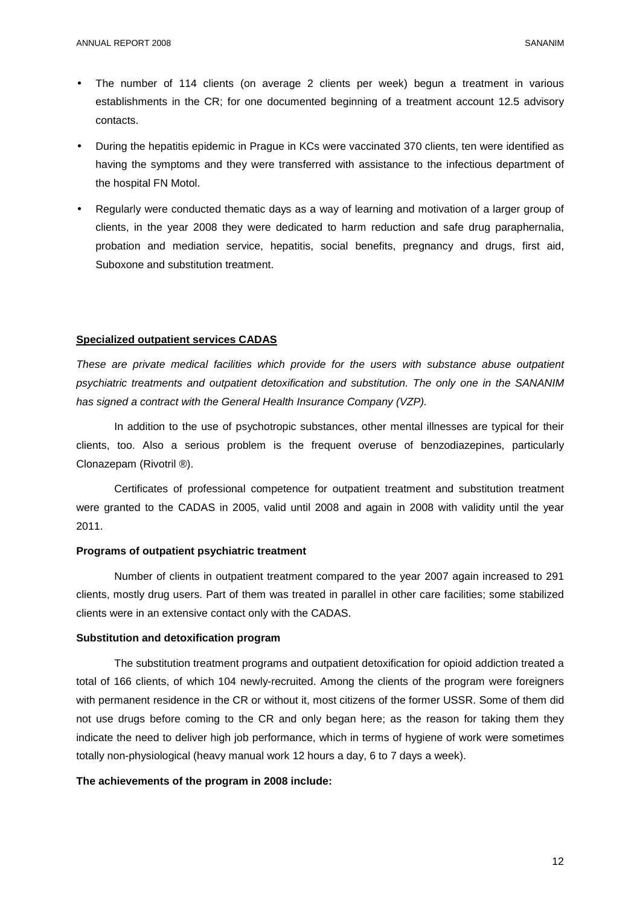- The number of 114 clients (on average 2 clients per week) begun a treatment in various establishments in the CR; for one documented beginning of a treatment account 12.5 advisory contacts.
- During the hepatitis epidemic in Prague in KCs were vaccinated 370 clients, ten were identified as having the symptoms and they were transferred with assistance to the infectious department of the hospital FN Motol.
- Regularly were conducted thematic days as a way of learning and motivation of a larger group of clients, in the year 2008 they were dedicated to harm reduction and safe drug paraphernalia, probation and mediation service, hepatitis, social benefits, pregnancy and drugs, first aid, Suboxone and substitution treatment.

#### **Specialized outpatient services CADAS**

These are private medical facilities which provide for the users with substance abuse outpatient psychiatric treatments and outpatient detoxification and substitution. The only one in the SANANIM has signed a contract with the General Health Insurance Company (VZP).

 In addition to the use of psychotropic substances, other mental illnesses are typical for their clients, too. Also a serious problem is the frequent overuse of benzodiazepines, particularly Clonazepam (Rivotril ®).

 Certificates of professional competence for outpatient treatment and substitution treatment were granted to the CADAS in 2005, valid until 2008 and again in 2008 with validity until the year 2011.

# **Programs of outpatient psychiatric treatment**

 Number of clients in outpatient treatment compared to the year 2007 again increased to 291 clients, mostly drug users. Part of them was treated in parallel in other care facilities; some stabilized clients were in an extensive contact only with the CADAS.

# **Substitution and detoxification program**

 The substitution treatment programs and outpatient detoxification for opioid addiction treated a total of 166 clients, of which 104 newly-recruited. Among the clients of the program were foreigners with permanent residence in the CR or without it, most citizens of the former USSR. Some of them did not use drugs before coming to the CR and only began here; as the reason for taking them they indicate the need to deliver high job performance, which in terms of hygiene of work were sometimes totally non-physiological (heavy manual work 12 hours a day, 6 to 7 days a week).

# **The achievements of the program in 2008 include:**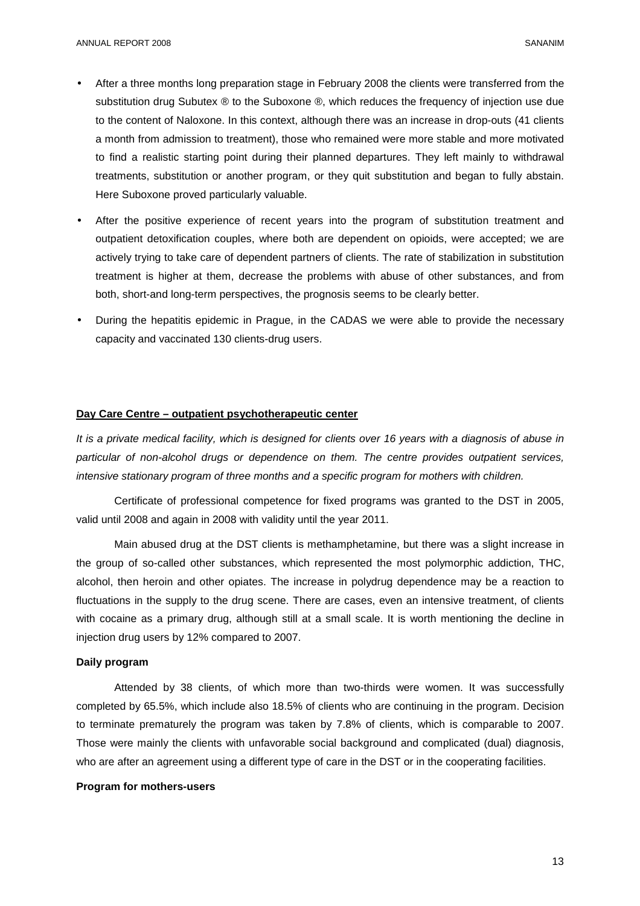- After a three months long preparation stage in February 2008 the clients were transferred from the substitution drug Subutex ® to the Suboxone ®, which reduces the frequency of injection use due to the content of Naloxone. In this context, although there was an increase in drop-outs (41 clients a month from admission to treatment), those who remained were more stable and more motivated to find a realistic starting point during their planned departures. They left mainly to withdrawal treatments, substitution or another program, or they quit substitution and began to fully abstain. Here Suboxone proved particularly valuable.
- After the positive experience of recent years into the program of substitution treatment and outpatient detoxification couples, where both are dependent on opioids, were accepted; we are actively trying to take care of dependent partners of clients. The rate of stabilization in substitution treatment is higher at them, decrease the problems with abuse of other substances, and from both, short-and long-term perspectives, the prognosis seems to be clearly better.
- During the hepatitis epidemic in Prague, in the CADAS we were able to provide the necessary capacity and vaccinated 130 clients-drug users.

#### **Day Care Centre – outpatient psychotherapeutic center**

It is a private medical facility, which is designed for clients over 16 years with a diagnosis of abuse in particular of non-alcohol drugs or dependence on them. The centre provides outpatient services, intensive stationary program of three months and a specific program for mothers with children.

 Certificate of professional competence for fixed programs was granted to the DST in 2005, valid until 2008 and again in 2008 with validity until the year 2011.

 Main abused drug at the DST clients is methamphetamine, but there was a slight increase in the group of so-called other substances, which represented the most polymorphic addiction, THC, alcohol, then heroin and other opiates. The increase in polydrug dependence may be a reaction to fluctuations in the supply to the drug scene. There are cases, even an intensive treatment, of clients with cocaine as a primary drug, although still at a small scale. It is worth mentioning the decline in injection drug users by 12% compared to 2007.

#### **Daily program**

 Attended by 38 clients, of which more than two-thirds were women. It was successfully completed by 65.5%, which include also 18.5% of clients who are continuing in the program. Decision to terminate prematurely the program was taken by 7.8% of clients, which is comparable to 2007. Those were mainly the clients with unfavorable social background and complicated (dual) diagnosis, who are after an agreement using a different type of care in the DST or in the cooperating facilities.

#### **Program for mothers-users**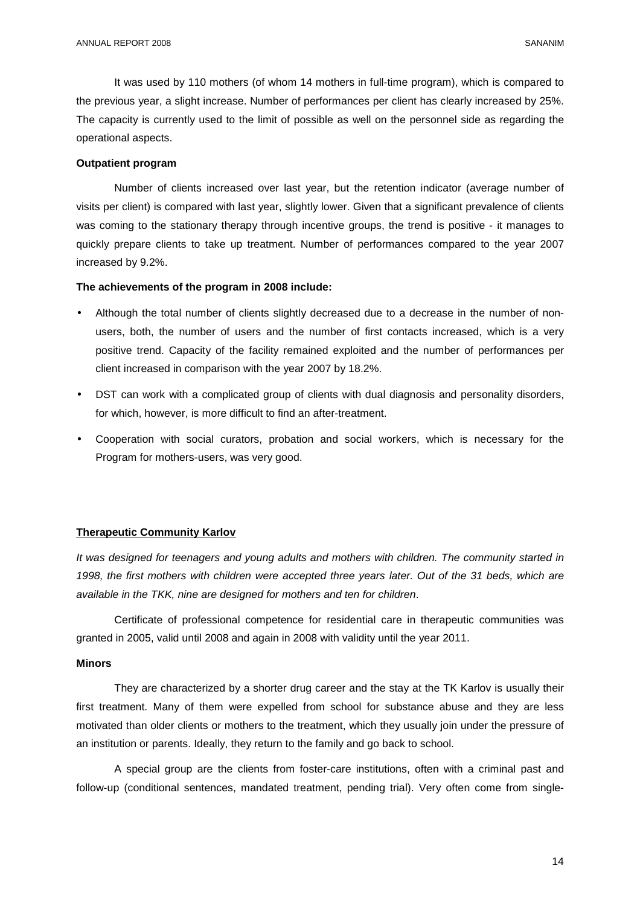It was used by 110 mothers (of whom 14 mothers in full-time program), which is compared to the previous year, a slight increase. Number of performances per client has clearly increased by 25%. The capacity is currently used to the limit of possible as well on the personnel side as regarding the operational aspects.

# **Outpatient program**

 Number of clients increased over last year, but the retention indicator (average number of visits per client) is compared with last year, slightly lower. Given that a significant prevalence of clients was coming to the stationary therapy through incentive groups, the trend is positive - it manages to quickly prepare clients to take up treatment. Number of performances compared to the year 2007 increased by 9.2%.

#### **The achievements of the program in 2008 include:**

- Although the total number of clients slightly decreased due to a decrease in the number of nonusers, both, the number of users and the number of first contacts increased, which is a very positive trend. Capacity of the facility remained exploited and the number of performances per client increased in comparison with the year 2007 by 18.2%.
- DST can work with a complicated group of clients with dual diagnosis and personality disorders, for which, however, is more difficult to find an after-treatment.
- Cooperation with social curators, probation and social workers, which is necessary for the Program for mothers-users, was very good.

#### **Therapeutic Community Karlov**

It was designed for teenagers and young adults and mothers with children. The community started in 1998, the first mothers with children were accepted three years later. Out of the 31 beds, which are available in the TKK, nine are designed for mothers and ten for children.

Certificate of professional competence for residential care in therapeutic communities was granted in 2005, valid until 2008 and again in 2008 with validity until the year 2011.

#### **Minors**

They are characterized by a shorter drug career and the stay at the TK Karlov is usually their first treatment. Many of them were expelled from school for substance abuse and they are less motivated than older clients or mothers to the treatment, which they usually join under the pressure of an institution or parents. Ideally, they return to the family and go back to school.

A special group are the clients from foster-care institutions, often with a criminal past and follow-up (conditional sentences, mandated treatment, pending trial). Very often come from single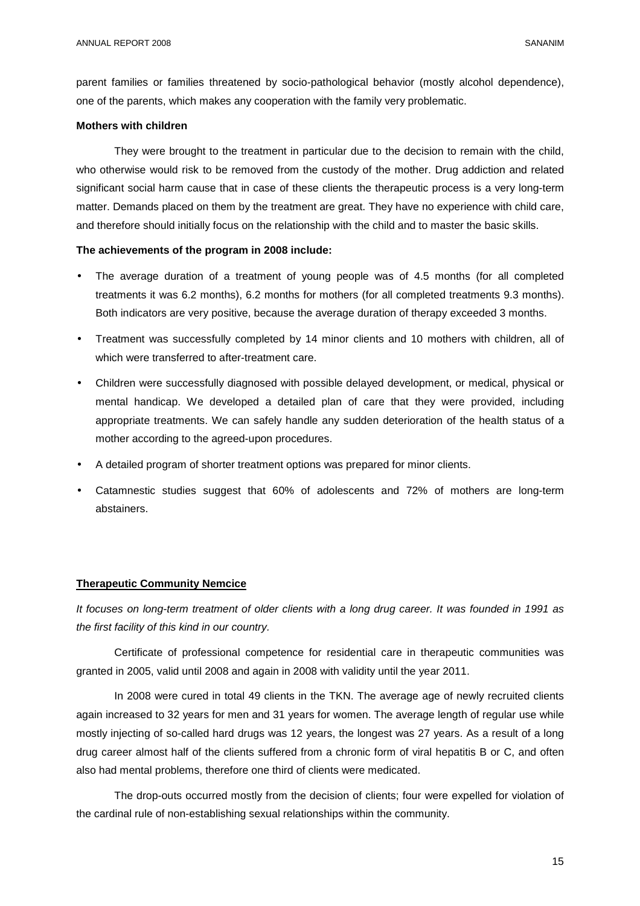parent families or families threatened by socio-pathological behavior (mostly alcohol dependence), one of the parents, which makes any cooperation with the family very problematic.

#### **Mothers with children**

 They were brought to the treatment in particular due to the decision to remain with the child, who otherwise would risk to be removed from the custody of the mother. Drug addiction and related significant social harm cause that in case of these clients the therapeutic process is a very long-term matter. Demands placed on them by the treatment are great. They have no experience with child care, and therefore should initially focus on the relationship with the child and to master the basic skills.

#### **The achievements of the program in 2008 include:**

- The average duration of a treatment of young people was of 4.5 months (for all completed treatments it was 6.2 months), 6.2 months for mothers (for all completed treatments 9.3 months). Both indicators are very positive, because the average duration of therapy exceeded 3 months.
- Treatment was successfully completed by 14 minor clients and 10 mothers with children, all of which were transferred to after-treatment care.
- Children were successfully diagnosed with possible delayed development, or medical, physical or mental handicap. We developed a detailed plan of care that they were provided, including appropriate treatments. We can safely handle any sudden deterioration of the health status of a mother according to the agreed-upon procedures.
- A detailed program of shorter treatment options was prepared for minor clients.
- Catamnestic studies suggest that 60% of adolescents and 72% of mothers are long-term abstainers.

# **Therapeutic Community Nemcice**

It focuses on long-term treatment of older clients with a long drug career. It was founded in 1991 as the first facility of this kind in our country.

 Certificate of professional competence for residential care in therapeutic communities was granted in 2005, valid until 2008 and again in 2008 with validity until the year 2011.

 In 2008 were cured in total 49 clients in the TKN. The average age of newly recruited clients again increased to 32 years for men and 31 years for women. The average length of regular use while mostly injecting of so-called hard drugs was 12 years, the longest was 27 years. As a result of a long drug career almost half of the clients suffered from a chronic form of viral hepatitis B or C, and often also had mental problems, therefore one third of clients were medicated.

 The drop-outs occurred mostly from the decision of clients; four were expelled for violation of the cardinal rule of non-establishing sexual relationships within the community.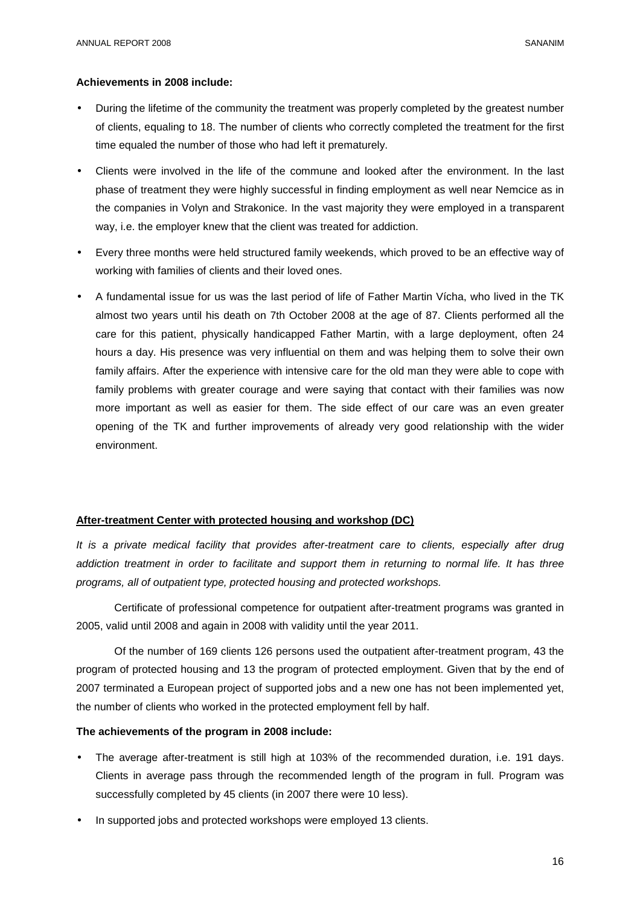# **Achievements in 2008 include:**

- During the lifetime of the community the treatment was properly completed by the greatest number of clients, equaling to 18. The number of clients who correctly completed the treatment for the first time equaled the number of those who had left it prematurely.
- Clients were involved in the life of the commune and looked after the environment. In the last phase of treatment they were highly successful in finding employment as well near Nemcice as in the companies in Volyn and Strakonice. In the vast majority they were employed in a transparent way, i.e. the employer knew that the client was treated for addiction.
- Every three months were held structured family weekends, which proved to be an effective way of working with families of clients and their loved ones.
- A fundamental issue for us was the last period of life of Father Martin Vícha, who lived in the TK almost two years until his death on 7th October 2008 at the age of 87. Clients performed all the care for this patient, physically handicapped Father Martin, with a large deployment, often 24 hours a day. His presence was very influential on them and was helping them to solve their own family affairs. After the experience with intensive care for the old man they were able to cope with family problems with greater courage and were saying that contact with their families was now more important as well as easier for them. The side effect of our care was an even greater opening of the TK and further improvements of already very good relationship with the wider environment.

# **After-treatment Center with protected housing and workshop (DC)**

It is a private medical facility that provides after-treatment care to clients, especially after drug addiction treatment in order to facilitate and support them in returning to normal life. It has three programs, all of outpatient type, protected housing and protected workshops.

 Certificate of professional competence for outpatient after-treatment programs was granted in 2005, valid until 2008 and again in 2008 with validity until the year 2011.

 Of the number of 169 clients 126 persons used the outpatient after-treatment program, 43 the program of protected housing and 13 the program of protected employment. Given that by the end of 2007 terminated a European project of supported jobs and a new one has not been implemented yet, the number of clients who worked in the protected employment fell by half.

# **The achievements of the program in 2008 include:**

- The average after-treatment is still high at 103% of the recommended duration, i.e. 191 days. Clients in average pass through the recommended length of the program in full. Program was successfully completed by 45 clients (in 2007 there were 10 less).
- In supported jobs and protected workshops were employed 13 clients.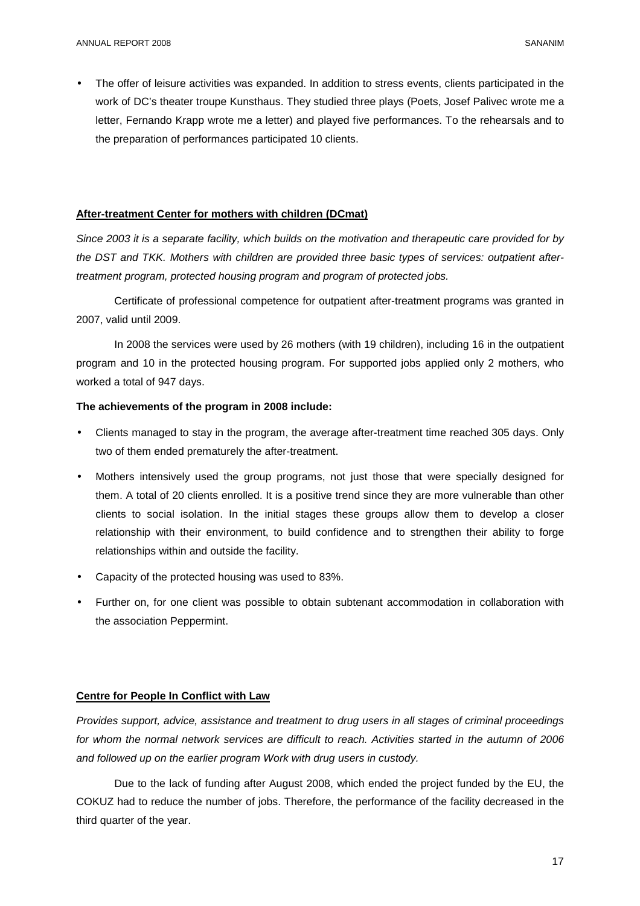The offer of leisure activities was expanded. In addition to stress events, clients participated in the work of DC's theater troupe Kunsthaus. They studied three plays (Poets, Josef Palivec wrote me a letter, Fernando Krapp wrote me a letter) and played five performances. To the rehearsals and to the preparation of performances participated 10 clients.

# **After-treatment Center for mothers with children (DCmat)**

Since 2003 it is a separate facility, which builds on the motivation and therapeutic care provided for by the DST and TKK. Mothers with children are provided three basic types of services: outpatient aftertreatment program, protected housing program and program of protected jobs.

Certificate of professional competence for outpatient after-treatment programs was granted in 2007, valid until 2009.

In 2008 the services were used by 26 mothers (with 19 children), including 16 in the outpatient program and 10 in the protected housing program. For supported jobs applied only 2 mothers, who worked a total of 947 days.

# **The achievements of the program in 2008 include:**

- Clients managed to stay in the program, the average after-treatment time reached 305 days. Only two of them ended prematurely the after-treatment.
- Mothers intensively used the group programs, not just those that were specially designed for them. A total of 20 clients enrolled. It is a positive trend since they are more vulnerable than other clients to social isolation. In the initial stages these groups allow them to develop a closer relationship with their environment, to build confidence and to strengthen their ability to forge relationships within and outside the facility.
- Capacity of the protected housing was used to 83%.
- Further on, for one client was possible to obtain subtenant accommodation in collaboration with the association Peppermint.

# **Centre for People In Conflict with Law**

Provides support, advice, assistance and treatment to drug users in all stages of criminal proceedings for whom the normal network services are difficult to reach. Activities started in the autumn of 2006 and followed up on the earlier program Work with drug users in custody.

 Due to the lack of funding after August 2008, which ended the project funded by the EU, the COKUZ had to reduce the number of jobs. Therefore, the performance of the facility decreased in the third quarter of the year.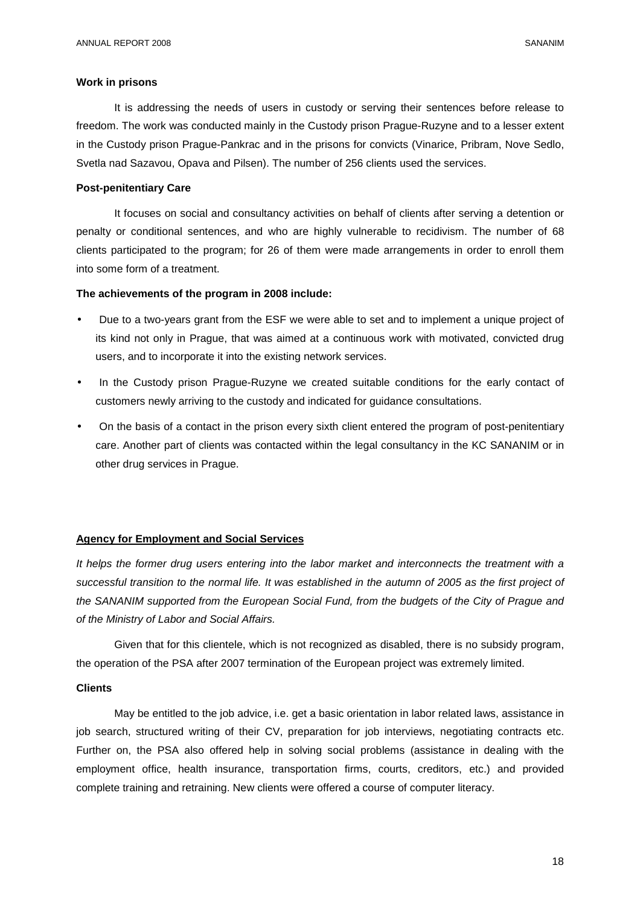#### **Work in prisons**

 It is addressing the needs of users in custody or serving their sentences before release to freedom. The work was conducted mainly in the Custody prison Prague-Ruzyne and to a lesser extent in the Custody prison Prague-Pankrac and in the prisons for convicts (Vinarice, Pribram, Nove Sedlo, Svetla nad Sazavou, Opava and Pilsen). The number of 256 clients used the services.

#### **Post-penitentiary Care**

 It focuses on social and consultancy activities on behalf of clients after serving a detention or penalty or conditional sentences, and who are highly vulnerable to recidivism. The number of 68 clients participated to the program; for 26 of them were made arrangements in order to enroll them into some form of a treatment.

#### **The achievements of the program in 2008 include:**

- Due to a two-years grant from the ESF we were able to set and to implement a unique project of its kind not only in Prague, that was aimed at a continuous work with motivated, convicted drug users, and to incorporate it into the existing network services.
- In the Custody prison Prague-Ruzyne we created suitable conditions for the early contact of customers newly arriving to the custody and indicated for guidance consultations.
- On the basis of a contact in the prison every sixth client entered the program of post-penitentiary care. Another part of clients was contacted within the legal consultancy in the KC SANANIM or in other drug services in Prague.

#### **Agency for Employment and Social Services**

It helps the former drug users entering into the labor market and interconnects the treatment with a successful transition to the normal life. It was established in the autumn of 2005 as the first project of the SANANIM supported from the European Social Fund, from the budgets of the City of Prague and of the Ministry of Labor and Social Affairs.

 Given that for this clientele, which is not recognized as disabled, there is no subsidy program, the operation of the PSA after 2007 termination of the European project was extremely limited.

#### **Clients**

 May be entitled to the job advice, i.e. get a basic orientation in labor related laws, assistance in job search, structured writing of their CV, preparation for job interviews, negotiating contracts etc. Further on, the PSA also offered help in solving social problems (assistance in dealing with the employment office, health insurance, transportation firms, courts, creditors, etc.) and provided complete training and retraining. New clients were offered a course of computer literacy.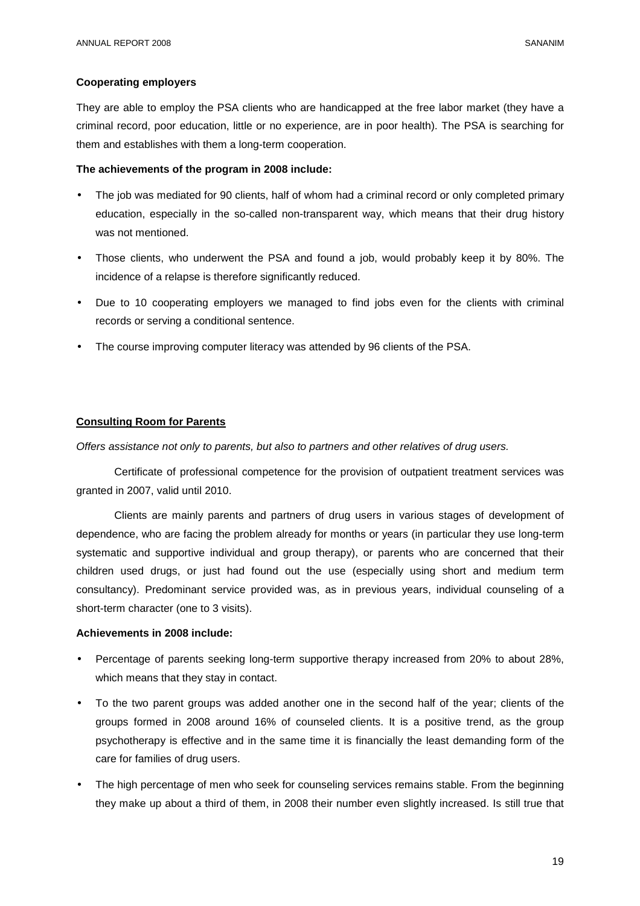# **Cooperating employers**

They are able to employ the PSA clients who are handicapped at the free labor market (they have a criminal record, poor education, little or no experience, are in poor health). The PSA is searching for them and establishes with them a long-term cooperation.

# **The achievements of the program in 2008 include:**

- The job was mediated for 90 clients, half of whom had a criminal record or only completed primary education, especially in the so-called non-transparent way, which means that their drug history was not mentioned.
- Those clients, who underwent the PSA and found a job, would probably keep it by 80%. The incidence of a relapse is therefore significantly reduced.
- Due to 10 cooperating employers we managed to find jobs even for the clients with criminal records or serving a conditional sentence.
- The course improving computer literacy was attended by 96 clients of the PSA.

# **Consulting Room for Parents**

Offers assistance not only to parents, but also to partners and other relatives of drug users.

 Certificate of professional competence for the provision of outpatient treatment services was granted in 2007, valid until 2010.

 Clients are mainly parents and partners of drug users in various stages of development of dependence, who are facing the problem already for months or years (in particular they use long-term systematic and supportive individual and group therapy), or parents who are concerned that their children used drugs, or just had found out the use (especially using short and medium term consultancy). Predominant service provided was, as in previous years, individual counseling of a short-term character (one to 3 visits).

# **Achievements in 2008 include:**

- Percentage of parents seeking long-term supportive therapy increased from 20% to about 28%, which means that they stay in contact.
- To the two parent groups was added another one in the second half of the year; clients of the groups formed in 2008 around 16% of counseled clients. It is a positive trend, as the group psychotherapy is effective and in the same time it is financially the least demanding form of the care for families of drug users.
- The high percentage of men who seek for counseling services remains stable. From the beginning they make up about a third of them, in 2008 their number even slightly increased. Is still true that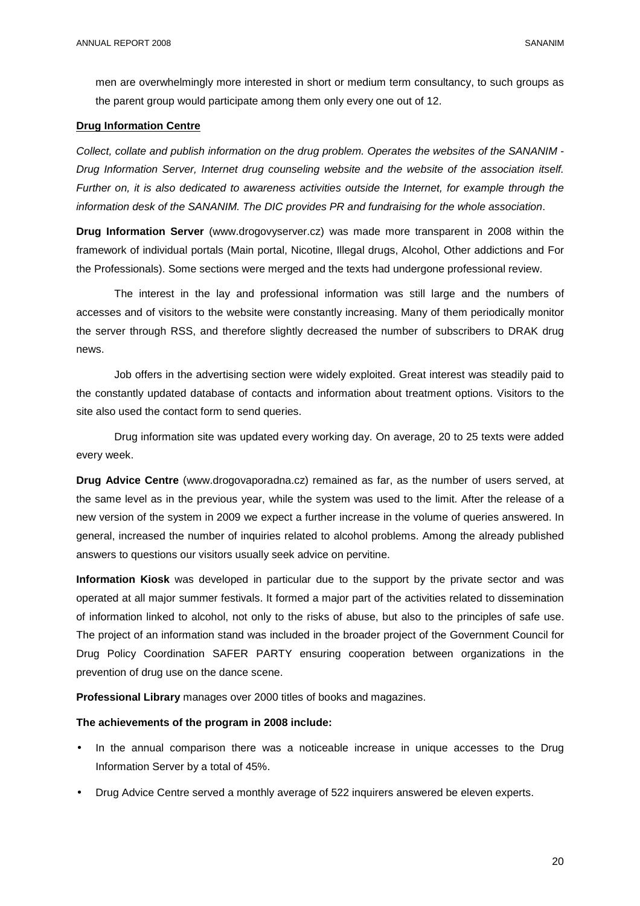men are overwhelmingly more interested in short or medium term consultancy, to such groups as the parent group would participate among them only every one out of 12.

# **Drug Information Centre**

Collect, collate and publish information on the drug problem. Operates the websites of the SANANIM - Drug Information Server, Internet drug counseling website and the website of the association itself. Further on, it is also dedicated to awareness activities outside the Internet, for example through the information desk of the SANANIM. The DIC provides PR and fundraising for the whole association.

**Drug Information Server** (www.drogovyserver.cz) was made more transparent in 2008 within the framework of individual portals (Main portal, Nicotine, Illegal drugs, Alcohol, Other addictions and For the Professionals). Some sections were merged and the texts had undergone professional review.

 The interest in the lay and professional information was still large and the numbers of accesses and of visitors to the website were constantly increasing. Many of them periodically monitor the server through RSS, and therefore slightly decreased the number of subscribers to DRAK drug news.

 Job offers in the advertising section were widely exploited. Great interest was steadily paid to the constantly updated database of contacts and information about treatment options. Visitors to the site also used the contact form to send queries.

 Drug information site was updated every working day. On average, 20 to 25 texts were added every week.

**Drug Advice Centre** (www.drogovaporadna.cz) remained as far, as the number of users served, at the same level as in the previous year, while the system was used to the limit. After the release of a new version of the system in 2009 we expect a further increase in the volume of queries answered. In general, increased the number of inquiries related to alcohol problems. Among the already published answers to questions our visitors usually seek advice on pervitine.

**Information Kiosk** was developed in particular due to the support by the private sector and was operated at all major summer festivals. It formed a major part of the activities related to dissemination of information linked to alcohol, not only to the risks of abuse, but also to the principles of safe use. The project of an information stand was included in the broader project of the Government Council for Drug Policy Coordination SAFER PARTY ensuring cooperation between organizations in the prevention of drug use on the dance scene.

**Professional Library** manages over 2000 titles of books and magazines.

#### **The achievements of the program in 2008 include:**

- In the annual comparison there was a noticeable increase in unique accesses to the Drug Information Server by a total of 45%.
- Drug Advice Centre served a monthly average of 522 inquirers answered be eleven experts.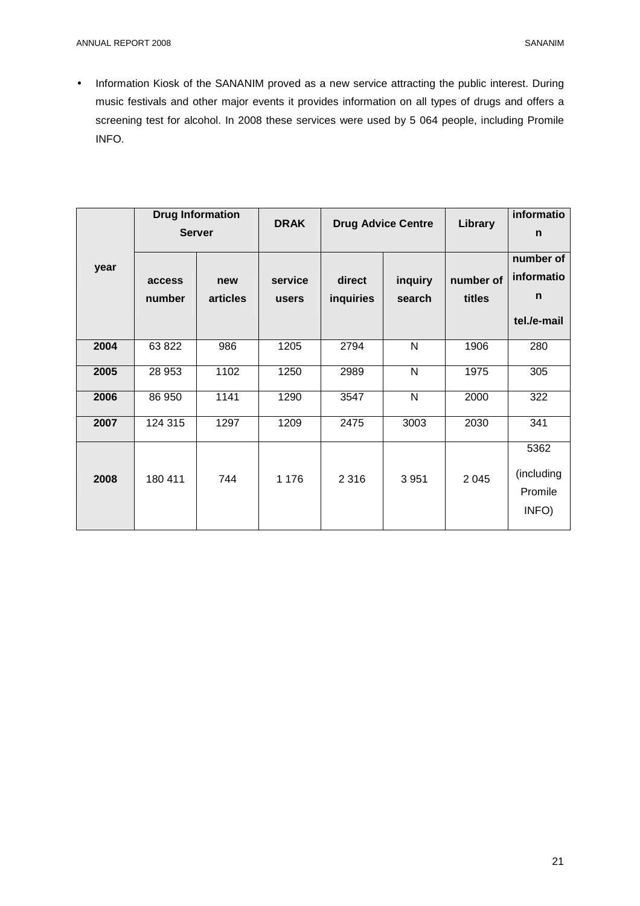• Information Kiosk of the SANANIM proved as a new service attracting the public interest. During music festivals and other major events it provides information on all types of drugs and offers a screening test for alcohol. In 2008 these services were used by 5 064 people, including Promile INFO.

| year |                  | <b>Drug Information</b><br><b>Server</b> | <b>DRAK</b>      |                     | <b>Drug Advice Centre</b> | Library             | informatio<br>n                             |
|------|------------------|------------------------------------------|------------------|---------------------|---------------------------|---------------------|---------------------------------------------|
|      | access<br>number | new<br>articles                          | service<br>users | direct<br>inquiries | inquiry<br>search         | number of<br>titles | number of<br>informatio<br>n<br>tel./e-mail |
| 2004 | 63 822           | 986                                      | 1205             | 2794                | N                         | 1906                | 280                                         |
| 2005 | 28 953           | 1102                                     | 1250             | 2989                | $\mathsf{N}$              | 1975                | 305                                         |
| 2006 | 86 950           | 1141                                     | 1290             | 3547                | N                         | 2000                | 322                                         |
| 2007 | 124 315          | 1297                                     | 1209             | 2475                | 3003                      | 2030                | 341                                         |
| 2008 | 180 411          | 744                                      | 1 1 7 6          | 2 3 1 6             | 3 9 5 1                   | 2 0 4 5             | 5362<br>(including<br>Promile<br>INFO)      |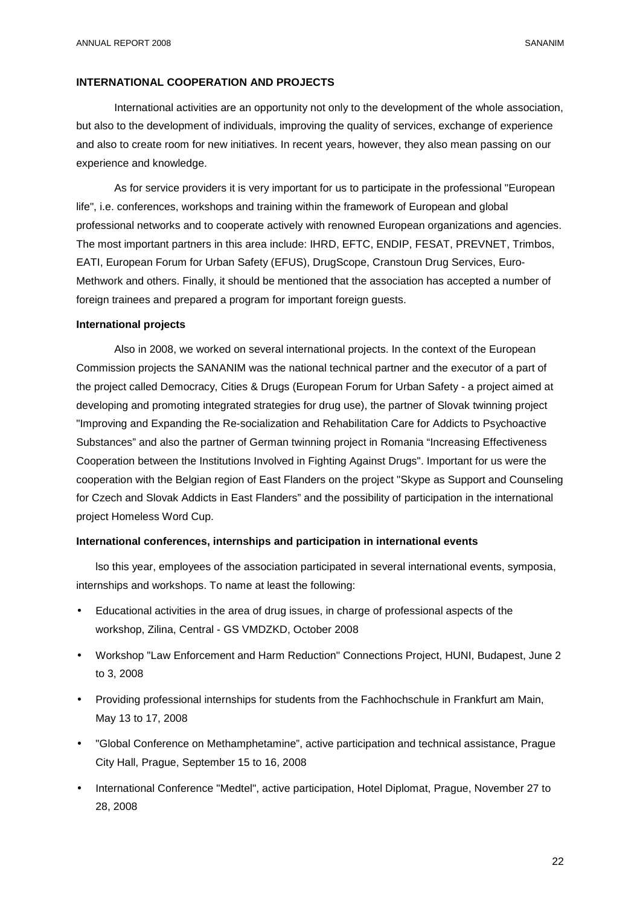#### **INTERNATIONAL COOPERATION AND PROJECTS**

International activities are an opportunity not only to the development of the whole association, but also to the development of individuals, improving the quality of services, exchange of experience and also to create room for new initiatives. In recent years, however, they also mean passing on our experience and knowledge.

As for service providers it is very important for us to participate in the professional "European life", i.e. conferences, workshops and training within the framework of European and global professional networks and to cooperate actively with renowned European organizations and agencies. The most important partners in this area include: IHRD, EFTC, ENDIP, FESAT, PREVNET, Trimbos, EATI, European Forum for Urban Safety (EFUS), DrugScope, Cranstoun Drug Services, Euro-Methwork and others. Finally, it should be mentioned that the association has accepted a number of foreign trainees and prepared a program for important foreign guests.

# **International projects**

Also in 2008, we worked on several international projects. In the context of the European Commission projects the SANANIM was the national technical partner and the executor of a part of the project called Democracy, Cities & Drugs (European Forum for Urban Safety - a project aimed at developing and promoting integrated strategies for drug use), the partner of Slovak twinning project "Improving and Expanding the Re-socialization and Rehabilitation Care for Addicts to Psychoactive Substances" and also the partner of German twinning project in Romania "Increasing Effectiveness Cooperation between the Institutions Involved in Fighting Against Drugs". Important for us were the cooperation with the Belgian region of East Flanders on the project "Skype as Support and Counseling for Czech and Slovak Addicts in East Flanders" and the possibility of participation in the international project Homeless Word Cup.

# **International conferences, internships and participation in international events**

lso this year, employees of the association participated in several international events, symposia, internships and workshops. To name at least the following:

- Educational activities in the area of drug issues, in charge of professional aspects of the workshop, Zilina, Central - GS VMDZKD, October 2008
- Workshop "Law Enforcement and Harm Reduction" Connections Project, HUNI, Budapest, June 2 to 3, 2008
- Providing professional internships for students from the Fachhochschule in Frankfurt am Main, May 13 to 17, 2008
- "Global Conference on Methamphetamine", active participation and technical assistance, Prague City Hall, Prague, September 15 to 16, 2008
- International Conference "Medtel", active participation, Hotel Diplomat, Prague, November 27 to 28, 2008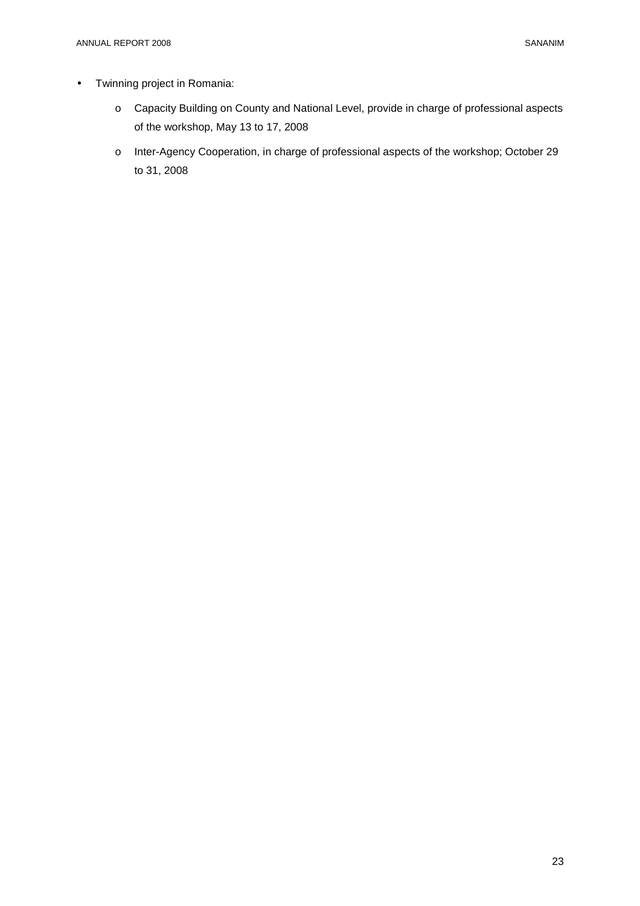- Twinning project in Romania:
	- o Capacity Building on County and National Level, provide in charge of professional aspects of the workshop, May 13 to 17, 2008
	- o Inter-Agency Cooperation, in charge of professional aspects of the workshop; October 29 to 31, 2008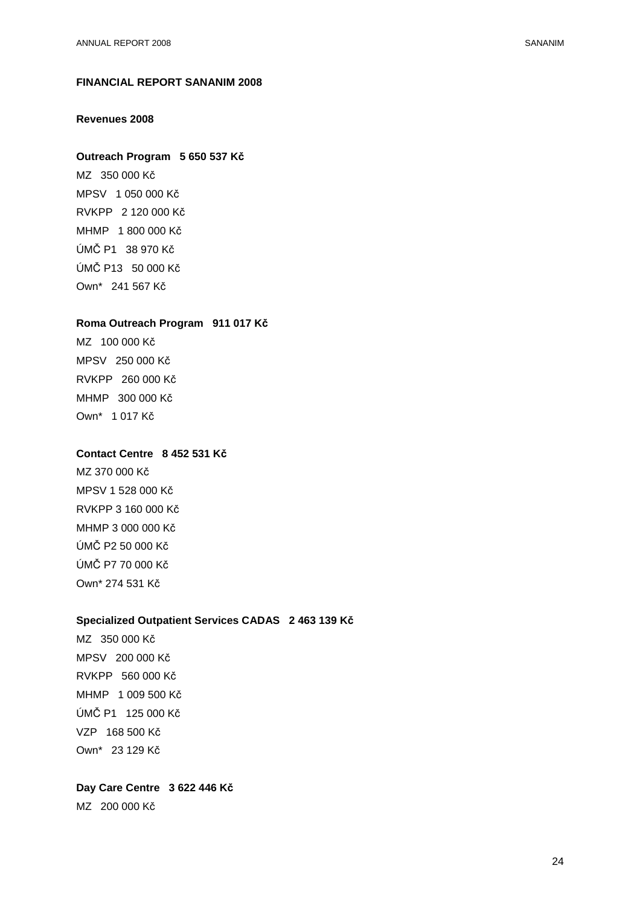# **FINANCIAL REPORT SANANIM 2008**

# **Revenues 2008**

#### **Outreach Program 5 650 537 Kč**

MZ 350 000 Kč MPSV 1 050 000 Kč RVKPP 2 120 000 Kč MHMP 1 800 000 Kč ÚMČ P1 38 970 Kč ÚMČ P13 50 000 Kč Own\* 241 567 Kč

#### **Roma Outreach Program 911 017 Kč**

MZ 100 000 Kč MPSV 250 000 Kč RVKPP 260 000 Kč MHMP 300 000 Kč Own\* 1 017 Kč

# **Contact Centre 8 452 531 Kč**

MZ 370 000 Kč MPSV 1 528 000 Kč RVKPP 3 160 000 Kč MHMP 3 000 000 Kč ÚMČ P2 50 000 Kč ÚMČ P7 70 000 Kč Own\* 274 531 Kč

# **Specialized Outpatient Services CADAS 2 463 139 Kč**

MZ 350 000 Kč MPSV 200 000 Kč RVKPP 560 000 Kč MHMP 1 009 500 Kč ÚMČ P1 125 000 Kč VZP 168 500 Kč Own\* 23 129 Kč

# **Day Care Centre 3 622 446 Kč**

MZ 200 000 Kč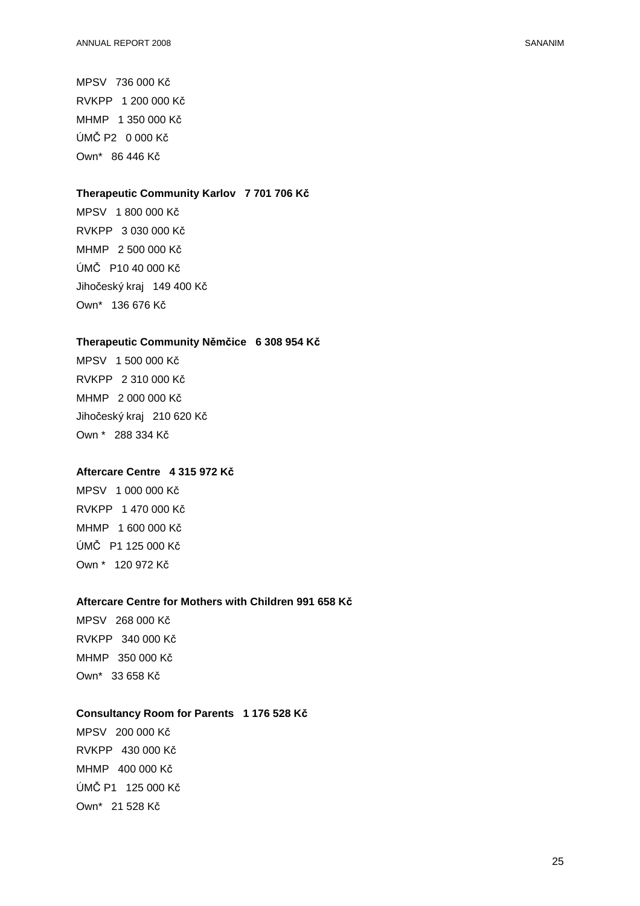MPSV 736 000 Kč RVKPP 1 200 000 Kč MHMP 1 350 000 Kč ÚMČ P2 0 000 Kč Own\* 86 446 Kč

# **Therapeutic Community Karlov 7 701 706 Kč**

MPSV 1 800 000 Kč RVKPP 3 030 000 Kč MHMP 2 500 000 Kč ÚMČ P10 40 000 Kč Jihočeský kraj 149 400 Kč Own\* 136 676 Kč

# **Therapeutic Community Němčice 6 308 954 Kč**

MPSV 1 500 000 Kč RVKPP 2 310 000 Kč MHMP 2 000 000 Kč Jihočeský kraj 210 620 Kč Own \* 288 334 Kč

# **Aftercare Centre 4 315 972 Kč**

MPSV 1 000 000 Kč RVKPP 1 470 000 Kč MHMP 1 600 000 Kč ÚMČ P1 125 000 Kč Own \* 120 972 Kč

# **Aftercare Centre for Mothers with Children 991 658 Kč**

MPSV 268 000 Kč RVKPP 340 000 Kč MHMP 350 000 Kč Own\* 33 658 Kč

# **Consultancy Room for Parents 1 176 528 Kč**

MPSV 200 000 Kč RVKPP 430 000 Kč MHMP 400 000 Kč ÚMČ P1 125 000 Kč Own\* 21 528 Kč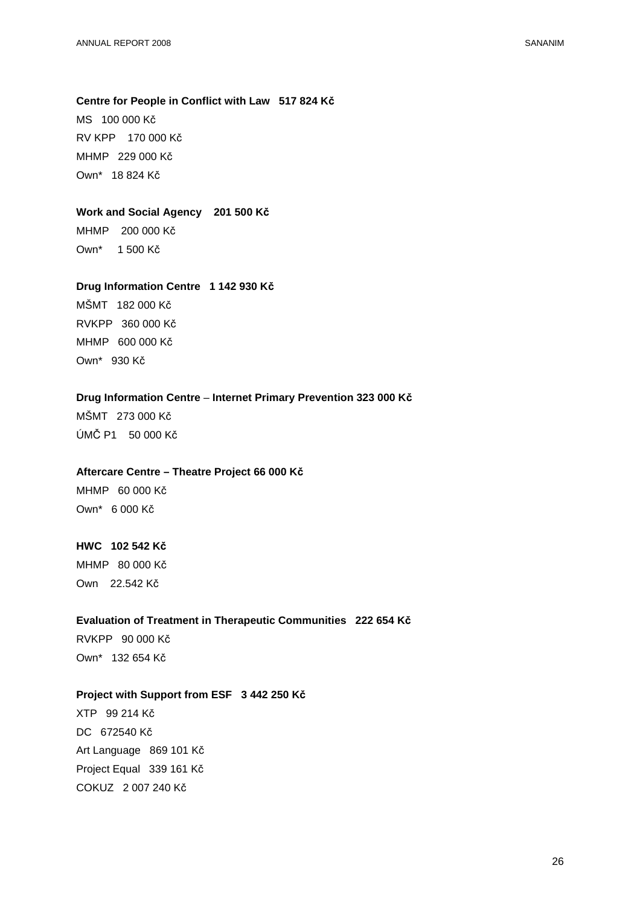# **Centre for People in Conflict with Law 517 824 Kč**

MS 100 000 Kč RV KPP 170 000 Kč MHMP 229 000 Kč Own\* 18 824 Kč

# **Work and Social Agency 201 500 Kč**

MHMP 200 000 Kč Own\* 1 500 Kč

#### **Drug Information Centre 1 142 930 Kč**

MŠMT 182 000 Kč RVKPP 360 000 Kč MHMP 600 000 Kč Own\* 930 Kč

# **Drug Information Centre** – **Internet Primary Prevention 323 000 Kč**

MŠMT 273 000 Kč ÚMČ P1 50 000 Kč

#### **Aftercare Centre – Theatre Project 66 000 Kč**

MHMP 60 000 Kč Own\* 6 000 Kč

# **HWC 102 542 Kč**

MHMP 80 000 Kč Own 22.542 Kč

#### **Evaluation of Treatment in Therapeutic Communities 222 654 Kč**

RVKPP 90 000 Kč Own\* 132 654 Kč

# **Project with Support from ESF 3 442 250 Kč**

XTP 99 214 Kč DC 672540 Kč Art Language 869 101 Kč Project Equal 339 161 Kč COKUZ 2 007 240 Kč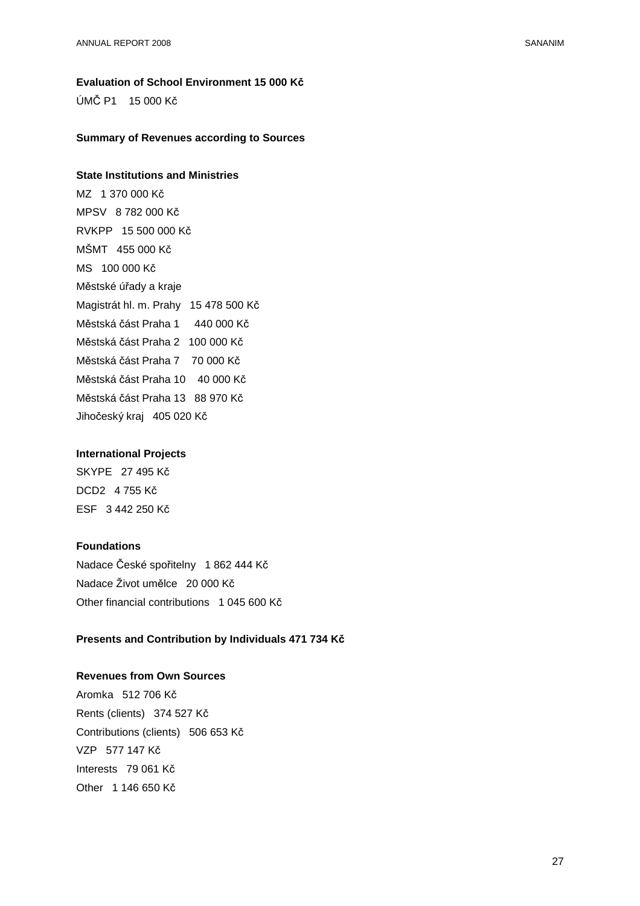# **Evaluation of School Environment 15 000 Kč**

ÚMČ P1 15 000 Kč

#### **Summary of Revenues according to Sources**

# **State Institutions and Ministries**

MZ 1 370 000 Kč MPSV 8 782 000 Kč RVKPP 15 500 000 Kč MŠMT 455 000 Kč MS 100 000 Kč Městské úřady a kraje Magistrát hl. m. Prahy 15 478 500 Kč Městská část Praha 1 440 000 Kč Městská část Praha 2 100 000 Kč Městská část Praha 7 70 000 Kč Městská část Praha 10 40 000 Kč Městská část Praha 13 88 970 Kč Jihočeský kraj 405 020 Kč

# **International Projects**

SKYPE 27 495 Kč DCD2 4 755 Kč ESF 3 442 250 Kč

# **Foundations**

Nadace České spořitelny 1 862 444 Kč Nadace Život umělce 20 000 Kč Other financial contributions 1 045 600 Kč

# **Presents and Contribution by Individuals 471 734 Kč**

# **Revenues from Own Sources**

Aromka 512 706 Kč Rents (clients) 374 527 Kč Contributions (clients) 506 653 Kč VZP 577 147 Kč Interests 79 061 Kč Other 1 146 650 Kč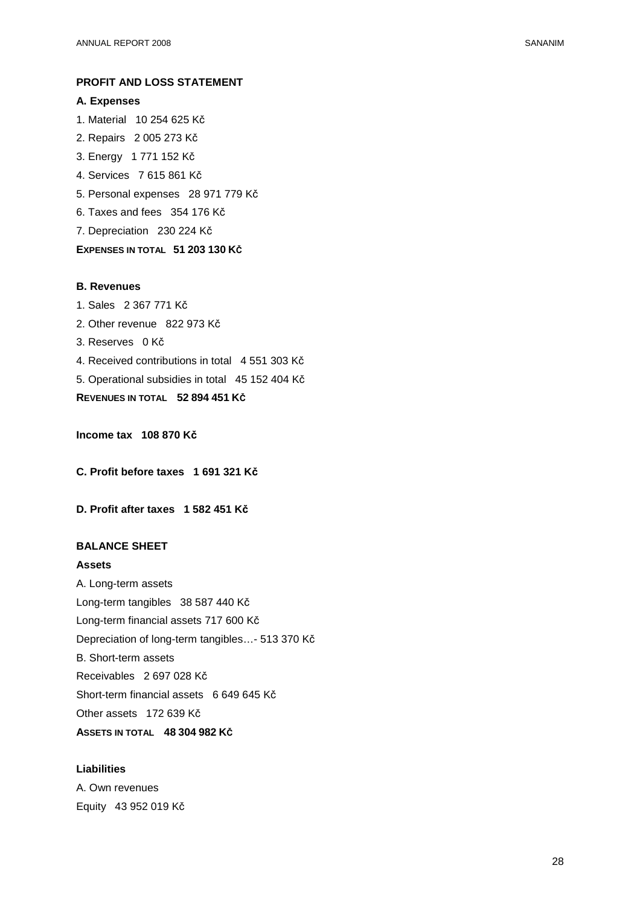# **PROFIT AND LOSS STATEMENT**

# **A. Expenses**

1. Material 10 254 625 Kč

- 2. Repairs 2 005 273 Kč
- 3. Energy 1 771 152 Kč
- 4. Services 7 615 861 Kč
- 5. Personal expenses 28 971 779 Kč
- 6. Taxes and fees 354 176 Kč

7. Depreciation 230 224 Kč

# **EXPENSES IN TOTAL 51 203 130 KČ**

#### **B. Revenues**

- 1. Sales 2 367 771 Kč
- 2. Other revenue 822 973 Kč
- 3. Reserves 0 Kč
- 4. Received contributions in total 4 551 303 Kč
- 5. Operational subsidies in total 45 152 404 Kč

**REVENUES IN TOTAL 52 894 451 KČ**

**Income tax 108 870 Kč**

**C. Profit before taxes 1 691 321 Kč**

**D. Profit after taxes 1 582 451 Kč**

# **BALANCE SHEET**

#### **Assets**

A. Long-term assets Long-term tangibles 38 587 440 Kč Long-term financial assets 717 600 Kč Depreciation of long-term tangibles…- 513 370 Kč B. Short-term assets Receivables 2 697 028 Kč Short-term financial assets 6 649 645 Kč Other assets 172 639 Kč **ASSETS IN TOTAL 48 304 982 KČ**

# **Liabilities**

A. Own revenues Equity 43 952 019 Kč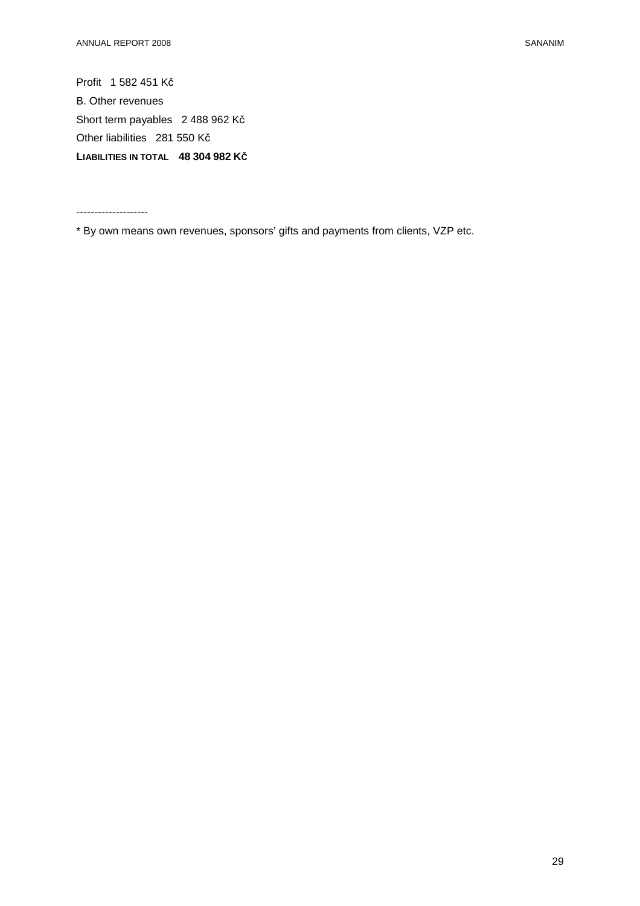Profit 1 582 451 Kč B. Other revenues Short term payables 2 488 962 Kč Other liabilities 281 550 Kč **LIABILITIES IN TOTAL 48 304 982 KČ**

--------------------

\* By own means own revenues, sponsors' gifts and payments from clients, VZP etc.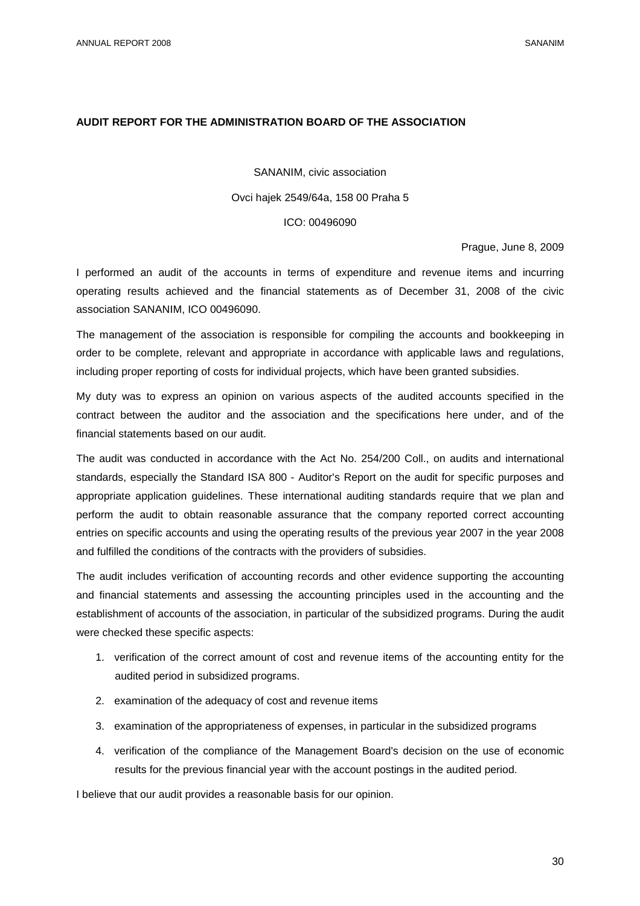# **AUDIT REPORT FOR THE ADMINISTRATION BOARD OF THE ASSOCIATION**

SANANIM, civic association

# Ovci hajek 2549/64a, 158 00 Praha 5

#### ICO: 00496090

Prague, June 8, 2009

I performed an audit of the accounts in terms of expenditure and revenue items and incurring operating results achieved and the financial statements as of December 31, 2008 of the civic association SANANIM, ICO 00496090.

The management of the association is responsible for compiling the accounts and bookkeeping in order to be complete, relevant and appropriate in accordance with applicable laws and regulations, including proper reporting of costs for individual projects, which have been granted subsidies.

My duty was to express an opinion on various aspects of the audited accounts specified in the contract between the auditor and the association and the specifications here under, and of the financial statements based on our audit.

The audit was conducted in accordance with the Act No. 254/200 Coll., on audits and international standards, especially the Standard ISA 800 - Auditor's Report on the audit for specific purposes and appropriate application guidelines. These international auditing standards require that we plan and perform the audit to obtain reasonable assurance that the company reported correct accounting entries on specific accounts and using the operating results of the previous year 2007 in the year 2008 and fulfilled the conditions of the contracts with the providers of subsidies.

The audit includes verification of accounting records and other evidence supporting the accounting and financial statements and assessing the accounting principles used in the accounting and the establishment of accounts of the association, in particular of the subsidized programs. During the audit were checked these specific aspects:

- 1. verification of the correct amount of cost and revenue items of the accounting entity for the audited period in subsidized programs.
- 2. examination of the adequacy of cost and revenue items
- 3. examination of the appropriateness of expenses, in particular in the subsidized programs
- 4. verification of the compliance of the Management Board's decision on the use of economic results for the previous financial year with the account postings in the audited period.

I believe that our audit provides a reasonable basis for our opinion.